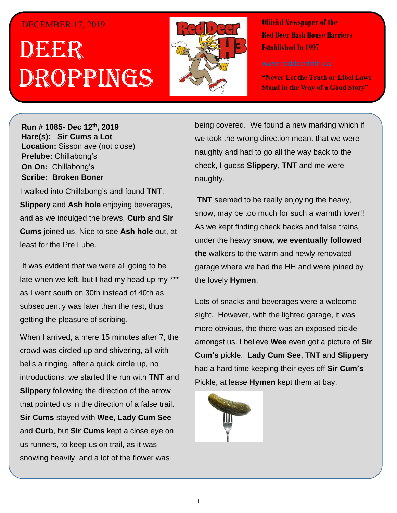## DECEMBER 17, 2019

## . 1 DEER h Droppings



**Official Newspaper of the Red Deer Hash House Harriers Established In 1997** 

**"Never Let the Truth or Libel Laws Stand in the Way of a Good Story"**

**Run # 1075- Oct. 3 rd, 2019 Hare(s): Deep Throat with a little help from her Run # 1085- Dec 12th, 2019 virgin friend Hare(s): Sir Cums a Lot Location:** Sisson ave (not close) **Prelube: Chillabong's On On: Chillabong's Sir Simapong S** *Have you ever for a hard day of a hard day of a hard day of a hard day of a hard day of a hard day of a hard day of a hard day of a hard day of a hard day of a hard day of a hard day of a hard day of a hard day of a hard* 

I walked into Chillabong's and found **TNT**, **Slippery** and Ash hole enjoying beverages, and as we indulged the brews, Curb and Sir **Cums** joined us. Nice to see Ash hole out, at least for the Pre Lube. They were going to go for a Hash Run in the state of a Hash Run in the Run in the State of A

It was evident that we were all going to be late when we left, but I had my head up my \*\*\* as I went south on 30th instead of 40th as subsequently was later than the rest, thus getting the pleasure of scribing.

When I arrived, a mere 15 minutes after 7, the crowd was circled up and shivering, all with bells a ringing, after a quick circle up, no introductions, we started the run with TNT and **Slippery** following the direction of the arrow that pointed us in the direction of a false trail. **Sir Cums** stayed with Wee, Lady Cum See and Curb, but Sir Cums kept a close eye on us runners, to keep us on trail, as it was snowing heavily, and a lot of the flower was

being covered. We found a new marking which if we took the wrong direction meant that we were *its fucking colder than shit?* naughty and had to go all the way back to the check, I guess **Slippery**, TNT and me were  $\mathsf{n}$ aughty. When I was to the run I was to the run I was to the run I was to the run I was to the run I was

**TNT** seemed to be really enjoying the heavy, snow, may be too much for such a warmth lover!! As we kept finding check backs and false trains, *Have you ever started a run and thought – The walkers*  under the heavy **snow, we eventually followed**  *are not even going to walk but go straight to the Hash*  **the** walkers to the warm and newly renovated *Hold we can clearly see and drink beer the whole time*  garage where we had the HH and were joined by *while the runners run.* the lovely **Hymen**.

Lots of snacks and beverages were a welcome sight. However, with the lighted garage, it was more obvious, the there was an exposed pickle abode.Update: I think I saw them on the run so guilt must have kicked in. *Have you ever been on a Hash Trail with so much flour*  had a hard time keeping their eyes off **Sir Cum's** *put down that you know if you set one there 4 weeks*  Pickle, at lease **Hymen** kept them at bay. amongst us. I believe **Wee** even got a picture of **Sir Cum's** pickle. **Lady Cum See**, **TNT** and **Slippery**